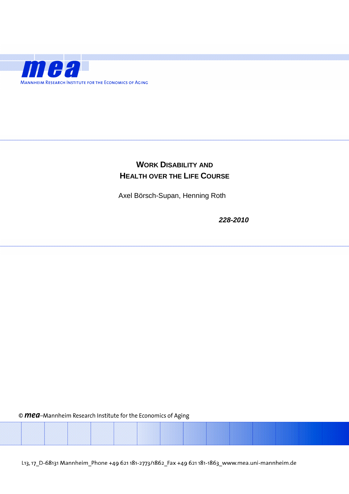

# **WORK DISABILITY AND HEALTH OVER THE LIFE COURSE**

Axel Börsch-Supan, Henning Roth

**228-2010** 

© mea-Mannheim Research Institute for the Economics of Aging

L13, 17\_D-68131 Mannheim\_Phone +49 621 181-2773/1862\_Fax +49 621 181-1863\_www.mea.uni-mannheim.de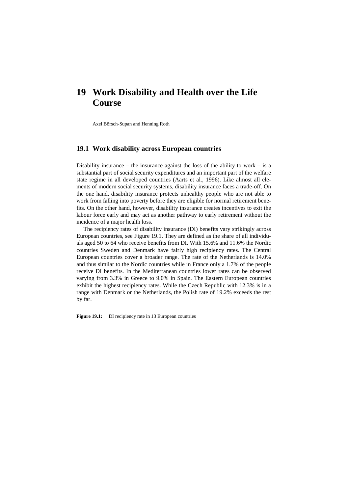# **19 Work Disability and Health over the Life Course**

Axel Börsch-Supan and Henning Roth

### **19.1 Work disability across European countries**

Disability insurance – the insurance against the loss of the ability to work – is a substantial part of social security expenditures and an important part of the welfare state regime in all developed countries (Aarts et al., 1996). Like almost all elements of modern social security systems, disability insurance faces a trade-off. On the one hand, disability insurance protects unhealthy people who are not able to work from falling into poverty before they are eligible for normal retirement benefits. On the other hand, however, disability insurance creates incentives to exit the labour force early and may act as another pathway to early retirement without the incidence of a major health loss.

The recipiency rates of disability insurance (DI) benefits vary strikingly across European countries, see Figure 19.1. They are defined as the share of all individuals aged 50 to 64 who receive benefits from DI. With 15.6% and 11.6% the Nordic countries Sweden and Denmark have fairly high recipiency rates. The Central European countries cover a broader range. The rate of the Netherlands is 14.0% and thus similar to the Nordic countries while in France only a 1.7% of the people receive DI benefits. In the Mediterranean countries lower rates can be observed varying from 3.3% in Greece to 9.0% in Spain. The Eastern European countries exhibit the highest recipiency rates. While the Czech Republic with 12.3% is in a range with Denmark or the Netherlands, the Polish rate of 19.2% exceeds the rest by far.

Figure 19.1: DI recipiency rate in 13 European countries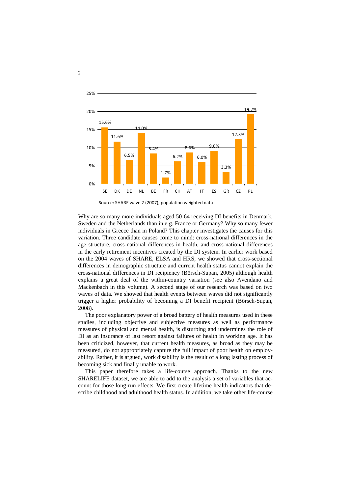



Why are so many more individuals aged 50-64 receiving DI benefits in Denmark, Sweden and the Netherlands than in e.g. France or Germany? Why so many fewer individuals in Greece than in Poland? This chapter investigates the causes for this variation. Three candidate causes come to mind: cross-national differences in the age structure, cross-national differences in health, and cross-national differences in the early retirement incentives created by the DI system. In earlier work based on the 2004 waves of SHARE, ELSA and HRS, we showed that cross-sectional differences in demographic structure and current health status cannot explain the cross-national differences in DI recipiency (Börsch-Supan, 2005) although health explains a great deal of the within-country variation (see also Avendano and Mackenbach in this volume). A second stage of our research was based on two waves of data. We showed that health events between waves did not significantly trigger a higher probability of becoming a DI benefit recipient (Börsch-Supan, 2008).

The poor explanatory power of a broad battery of health measures used in these studies, including objective and subjective measures as well as performance measures of physical and mental health, is disturbing and undermines the role of DI as an insurance of last resort against failures of health in working age. It has been criticized, however, that current health measures, as broad as they may be measured, do not appropriately capture the full impact of poor health on employability. Rather, it is argued, work disability is the result of a long lasting process of becoming sick and finally unable to work.

This paper therefore takes a life-course approach. Thanks to the new SHARELIFE dataset, we are able to add to the analysis a set of variables that account for those long-run effects. We first create lifetime health indicators that describe childhood and adulthood health status. In addition, we take other life-course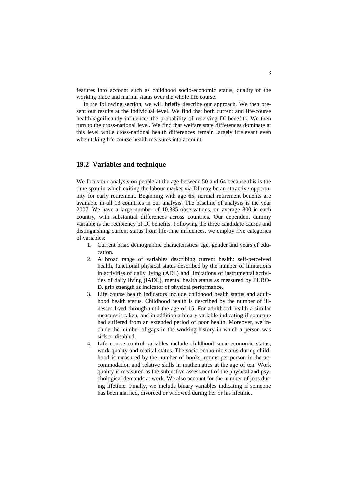features into account such as childhood socio-economic status, quality of the working place and marital status over the whole life course.

In the following section, we will briefly describe our approach. We then present our results at the individual level. We find that both current and life-course health significantly influences the probability of receiving DI benefits. We then turn to the cross-national level. We find that welfare state differences dominate at this level while cross-national health differences remain largely irrelevant even when taking life-course health measures into account.

### **19.2 Variables and technique**

We focus our analysis on people at the age between 50 and 64 because this is the time span in which exiting the labour market via DI may be an attractive opportunity for early retirement. Beginning with age 65, normal retirement benefits are available in all 13 countries in our analysis. The baseline of analysis is the year 2007. We have a large number of 10,385 observations, on average 800 in each country, with substantial differences across countries. Our dependent dummy variable is the recipiency of DI benefits. Following the three candidate causes and distinguishing current status from life-time influences, we employ five categories of variables:

- 1. Current basic demographic characteristics: age, gender and years of education.
- 2. A broad range of variables describing current health: self-perceived health, functional physical status described by the number of limitations in activities of daily living (ADL) and limitations of instrumental activities of daily living (IADL), mental health status as measured by EURO-D, grip strength as indicator of physical performance.
- 3. Life course health indicators include childhood health status and adulthood health status. Childhood health is described by the number of illnesses lived through until the age of 15. For adulthood health a similar measure is taken, and in addition a binary variable indicating if someone had suffered from an extended period of poor health. Moreover, we include the number of gaps in the working history in which a person was sick or disabled.
- 4. Life course control variables include childhood socio-economic status, work quality and marital status. The socio-economic status during childhood is measured by the number of books, rooms per person in the accommodation and relative skills in mathematics at the age of ten. Work quality is measured as the subjective assessment of the physical and psychological demands at work. We also account for the number of jobs during lifetime. Finally, we include binary variables indicating if someone has been married, divorced or widowed during her or his lifetime.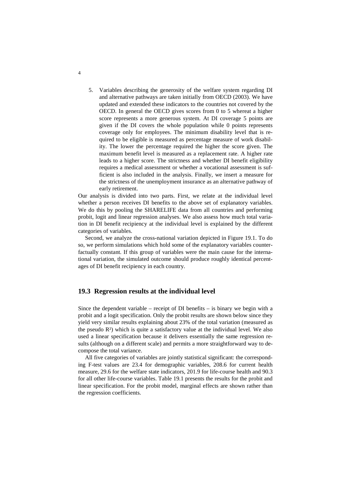5. Variables describing the generosity of the welfare system regarding DI and alternative pathways are taken initially from OECD (2003). We have updated and extended these indicators to the countries not covered by the OECD. In general the OECD gives scores from 0 to 5 whereat a higher score represents a more generous system. At DI coverage 5 points are given if the DI covers the whole population while 0 points represents coverage only for employees. The minimum disability level that is required to be eligible is measured as percentage measure of work disability. The lower the percentage required the higher the score given. The maximum benefit level is measured as a replacement rate. A higher rate leads to a higher score. The strictness and whether DI benefit eligibility requires a medical assessment or whether a vocational assessment is sufficient is also included in the analysis. Finally, we insert a measure for the strictness of the unemployment insurance as an alternative pathway of early retirement.

Our analysis is divided into two parts. First, we relate at the individual level whether a person receives DI benefits to the above set of explanatory variables. We do this by pooling the SHARELIFE data from all countries and performing probit, logit and linear regression analyses. We also assess how much total variation in DI benefit recipiency at the individual level is explained by the different categories of variables.

Second, we analyze the cross-national variation depicted in Figure 19.1. To do so, we perform simulations which hold some of the explanatory variables counterfactually constant. If this group of variables were the main cause for the international variation, the simulated outcome should produce roughly identical percentages of DI benefit recipiency in each country.

## **19.3 Regression results at the individual level**

Since the dependent variable – receipt of DI benefits – is binary we begin with a probit and a logit specification. Only the probit results are shown below since they yield very similar results explaining about 23% of the total variation (measured as the pseudo  $R<sup>2</sup>$ ) which is quite a satisfactory value at the individual level. We also used a linear specification because it delivers essentially the same regression results (although on a different scale) and permits a more straightforward way to decompose the total variance.

All five categories of variables are jointly statistical significant: the corresponding F-test values are 23.4 for demographic variables, 208.6 for current health measure, 29.6 for the welfare state indicators, 201.9 for life-course health and 90.3 for all other life-course variables. Table 19.1 presents the results for the probit and linear specification. For the probit model, marginal effects are shown rather than the regression coefficients.

4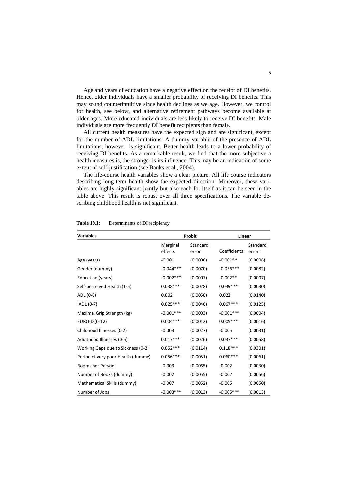Age and years of education have a negative effect on the receipt of DI benefits. Hence, older individuals have a smaller probability of receiving DI benefits. This may sound counterintuitive since health declines as we age. However, we control for health, see below, and alternative retirement pathways become available at older ages. More educated individuals are less likely to receive DI benefits. Male individuals are more frequently DI benefit recipients than female.

All current health measures have the expected sign and are significant, except for the number of ADL limitations. A dummy variable of the presence of ADL limitations, however, is significant. Better health leads to a lower probability of receiving DI benefits. As a remarkable result, we find that the more subjective a health measures is, the stronger is its influence. This may be an indication of some extent of self-justification (see Banks et al., 2004).

The life-course health variables show a clear picture. All life course indicators describing long-term health show the expected direction. Moreover, these variables are highly significant jointly but also each for itself as it can be seen in the table above. This result is robust over all three specifications. The variable describing childhood health is not significant.

| <b>Variables</b>                   |                     | Probit            | Linear       |                   |
|------------------------------------|---------------------|-------------------|--------------|-------------------|
|                                    | Marginal<br>effects | Standard<br>error | Coefficients | Standard<br>error |
| Age (years)                        | $-0.001$            | (0.0006)          | $-0.001**$   | (0.0006)          |
| Gender (dummy)                     | $-0.044***$         | (0.0070)          | $-0.056***$  | (0.0082)          |
| Education (years)                  | $-0.002***$         | (0.0007)          | $-0.002**$   | (0.0007)          |
| Self-perceived Health (1-5)        | $0.038***$          | (0.0028)          | $0.039***$   | (0.0030)          |
| ADL (0-6)                          | 0.002               | (0.0050)          | 0.022        | (0.0140)          |
| IADL (0-7)                         | $0.025***$          | (0.0046)          | $0.067***$   | (0.0125)          |
| Maximal Grip Strength (kg)         | $-0.001***$         | (0.0003)          | $-0.001***$  | (0.0004)          |
| EURO-D (0-12)                      | $0.004***$          | (0.0012)          | $0.005***$   | (0.0016)          |
| Childhood Illnesses (0-7)          | $-0.003$            | (0.0027)          | $-0.005$     | (0.0031)          |
| Adulthood Illnesses (0-5)          | $0.017***$          | (0.0026)          | $0.037***$   | (0.0058)          |
| Working Gaps due to Sickness (0-2) | $0.052***$          | (0.0114)          | $0.118***$   | (0.0301)          |
| Period of very poor Health (dummy) | $0.056***$          | (0.0051)          | $0.060***$   | (0.0061)          |
| Rooms per Person                   | $-0.003$            | (0.0065)          | $-0.002$     | (0.0030)          |
| Number of Books (dummy)            | $-0.002$            | (0.0055)          | $-0.002$     | (0.0056)          |
| Mathematical Skills (dummy)        | $-0.007$            | (0.0052)          | $-0.005$     | (0.0050)          |
| Number of Jobs                     | $-0.003***$         | (0.0013)          | $-0.005***$  | (0.0013)          |

**Table 19.1:** Determinants of DI recipiency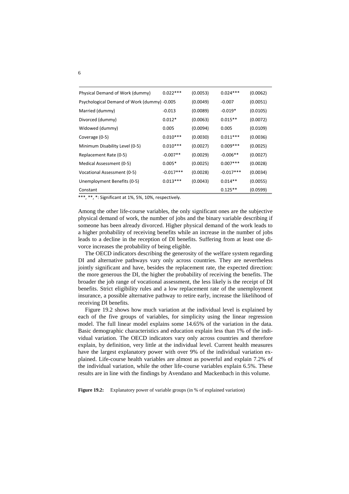| Physical Demand of Work (dummy)             | $0.022***$  | (0.0053) | $0.024***$  | (0.0062) |
|---------------------------------------------|-------------|----------|-------------|----------|
| Psychological Demand of Work (dummy) -0.005 |             | (0.0049) | $-0.007$    | (0.0051) |
| Married (dummy)                             | $-0.013$    | (0.0089) | $-0.019*$   | (0.0105) |
| Divorced (dummy)                            | $0.012*$    | (0.0063) | $0.015**$   | (0.0072) |
| Widowed (dummy)                             | 0.005       | (0.0094) | 0.005       | (0.0109) |
| Coverage (0-5)                              | $0.010***$  | (0.0030) | $0.011***$  | (0.0036) |
| Minimum Disability Level (0-5)              | $0.010***$  | (0.0027) | $0.009***$  | (0.0025) |
| Replacement Rate (0-5)                      | $-0.007**$  | (0.0029) | $-0.006**$  | (0.0027) |
| Medical Assessment (0-5)                    | $0.005*$    | (0.0025) | $0.007***$  | (0.0028) |
| Vocational Assessment (0-5)                 | $-0.017***$ | (0.0028) | $-0.017***$ | (0.0034) |
| Unemployment Benefits (0-5)                 | $0.013***$  | (0.0043) | $0.014**$   | (0.0055) |
| Constant                                    |             |          | $0.125**$   | (0.0599) |
|                                             |             |          |             |          |

\*\*\*, \*\*, \*: Significant at 1%, 5%, 10%, respectively.

Among the other life-course variables, the only significant ones are the subjective physical demand of work, the number of jobs and the binary variable describing if someone has been already divorced. Higher physical demand of the work leads to a higher probability of receiving benefits while an increase in the number of jobs leads to a decline in the reception of DI benefits. Suffering from at least one divorce increases the probability of being eligible.

The OECD indicators describing the generosity of the welfare system regarding DI and alternative pathways vary only across countries. They are nevertheless jointly significant and have, besides the replacement rate, the expected direction: the more generous the DI, the higher the probability of receiving the benefits. The broader the job range of vocational assessment, the less likely is the receipt of DI benefits. Strict eligibility rules and a low replacement rate of the unemployment insurance, a possible alternative pathway to retire early, increase the likelihood of receiving DI benefits.

Figure 19.2 shows how much variation at the individual level is explained by each of the five groups of variables, for simplicity using the linear regression model. The full linear model explains some 14.65% of the variation in the data. Basic demographic characteristics and education explain less than 1% of the individual variation. The OECD indicators vary only across countries and therefore explain, by definition, very little at the individual level. Current health measures have the largest explanatory power with over 9% of the individual variation explained. Life-course health variables are almost as powerful and explain 7.2% of the individual variation, while the other life-course variables explain 6.5%. These results are in line with the findings by Avendano and Mackenbach in this volume.

**Figure 19.2:** Explanatory power of variable groups (in % of explained variation)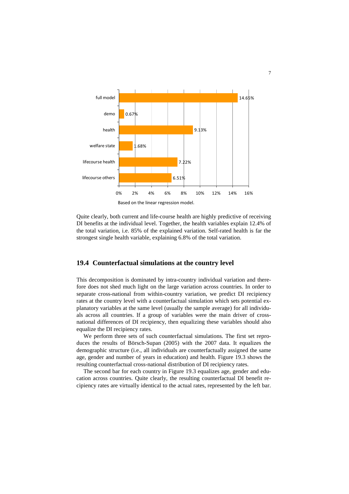

Based on the linear regression model.

Quite clearly, both current and life-course health are highly predictive of receiving DI benefits at the individual level. Together, the health variables explain 12.4% of the total variation, i.e. 85% of the explained variation. Self-rated health is far the strongest single health variable, explaining 6.8% of the total variation.

#### **19.4 Counterfactual simulations at the country level**

This decomposition is dominated by intra-country individual variation and therefore does not shed much light on the large variation across countries. In order to separate cross-national from within-country variation, we predict DI recipiency rates at the country level with a counterfactual simulation which sets potential explanatory variables at the same level (usually the sample average) for all individuals across all countries. If a group of variables were the main driver of crossnational differences of DI recipiency, then equalizing these variables should also equalize the DI recipiency rates.

We perform three sets of such counterfactual simulations. The first set reproduces the results of Börsch-Supan (2005) with the 2007 data. It equalizes the demographic structure (i.e., all individuals are counterfactually assigned the same age, gender and number of years in education) and health. Figure 19.3 shows the resulting counterfactual cross-national distribution of DI recipiency rates.

The second bar for each country in Figure 19.3 equalizes age, gender and education across countries. Quite clearly, the resulting counterfactual DI benefit recipiency rates are virtually identical to the actual rates, represented by the left bar.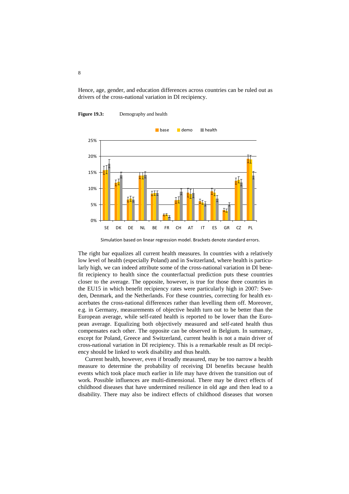Hence, age, gender, and education differences across countries can be ruled out as drivers of the cross-national variation in DI recipiency.



**Figure 19.3:** Demography and health

Simulation based on linear regression model. Brackets denote standard errors.

The right bar equalizes all current health measures. In countries with a relatively low level of health (especially Poland) and in Switzerland, where health is particularly high, we can indeed attribute some of the cross-national variation in DI benefit recipiency to health since the counterfactual prediction puts these countries closer to the average. The opposite, however, is true for those three countries in the EU15 in which benefit recipiency rates were particularly high in 2007: Sweden, Denmark, and the Netherlands. For these countries, correcting for health exacerbates the cross-national differences rather than levelling them off. Moreover, e.g. in Germany, measurements of objective health turn out to be better than the European average, while self-rated health is reported to be lower than the European average. Equalizing both objectively measured and self-rated health thus compensates each other. The opposite can be observed in Belgium. In summary, except for Poland, Greece and Switzerland, current health is not a main driver of cross-national variation in DI recipiency. This is a remarkable result as DI recipiency should be linked to work disability and thus health.

Current health, however, even if broadly measured, may be too narrow a health measure to determine the probability of receiving DI benefits because health events which took place much earlier in life may have driven the transition out of work. Possible influences are multi-dimensional. There may be direct effects of childhood diseases that have undermined resilience in old age and then lead to a disability. There may also be indirect effects of childhood diseases that worsen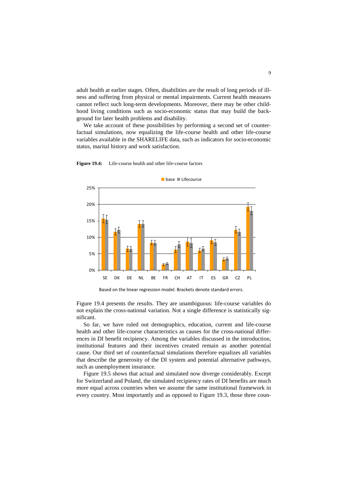adult health at earlier stages. Often, disabilities are the result of long periods of illness and suffering from physical or mental impairments. Current health measures cannot reflect such long-term developments. Moreover, there may be other childhood living conditions such as socio-economic status that may build the background for later health problems and disability.

We take account of these possibilities by performing a second set of counterfactual simulations, now equalizing the life-course health and other life-course variables available in the SHARELIFE data, such as indicators for socio-economic status, marital history and work satisfaction.





Based on the linear regression model. Brackets denote standard errors.

Figure 19.4 presents the results. They are unambiguous: life-course variables do not explain the cross-national variation. Not a single difference is statistically significant.

So far, we have ruled out demographics, education, current and life-course health and other life-course characteristics as causes for the cross-national differences in DI benefit recipiency. Among the variables discussed in the introduction, institutional features and their incentives created remain as another potential cause. Our third set of counterfactual simulations therefore equalizes all variables that describe the generosity of the DI system and potential alternative pathways, such as unemployment insurance.

Figure 19.5 shows that actual and simulated now diverge considerably. Except for Switzerland and Poland, the simulated recipiency rates of DI benefits are much more equal across countries when we assume the same institutional framework in every country. Most importantly and as opposed to Figure 19.3, those three coun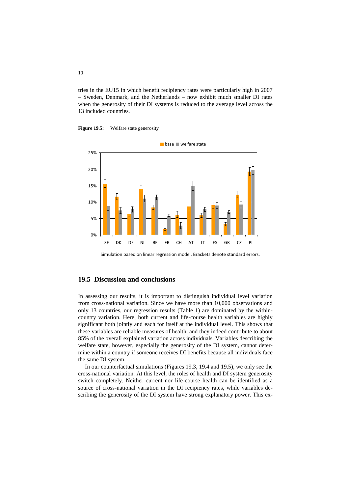tries in the EU15 in which benefit recipiency rates were particularly high in 2007 – Sweden, Denmark, and the Netherlands – now exhibit much smaller DI rates when the generosity of their DI systems is reduced to the average level across the 13 included countries.

**Figure 19.5:** Welfare state generosity



Simulation based on linear regression model. Brackets denote standard errors.

# **19.5 Discussion and conclusions**

In assessing our results, it is important to distinguish individual level variation from cross-national variation. Since we have more than 10,000 observations and only 13 countries, our regression results (Table 1) are dominated by the withincountry variation. Here, both current and life-course health variables are highly significant both jointly and each for itself at the individual level. This shows that these variables are reliable measures of health, and they indeed contribute to about 85% of the overall explained variation across individuals. Variables describing the welfare state, however, especially the generosity of the DI system, cannot determine within a country if someone receives DI benefits because all individuals face the same DI system.

In our counterfactual simulations (Figures 19.3, 19.4 and 19.5), we only see the cross-national variation. At this level, the roles of health and DI system generosity switch completely. Neither current nor life-course health can be identified as a source of cross-national variation in the DI recipiency rates, while variables describing the generosity of the DI system have strong explanatory power. This ex